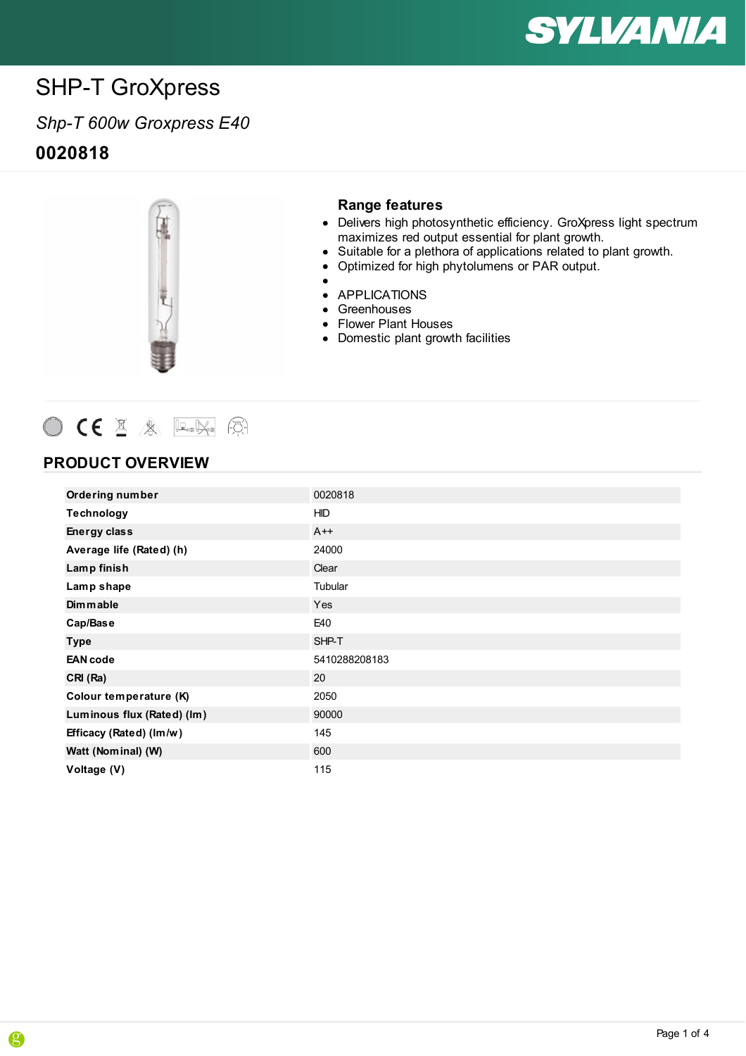

## *Shp-T 600w Groxpress E40* **0020818**



#### **Range features**

- Delivers high photosynthetic efficiency. GroXpress light spectrum maximizes red output essential for plant growth.
- Suitable for a plethora of applications related to plant growth.
- •<br>• • Optimized for high phytolumens or PAR output.
	-
- APPLICATIONS
- Greenhouses
- Flower Plant Houses
- **Domestic plant growth facilities**



### **PRODUCT OVERVIEW**

| <b>Ordering number</b>     | 0020818       |
|----------------------------|---------------|
| Technology                 | <b>HID</b>    |
| <b>Energy class</b>        | $A++$         |
| Average life (Rated) (h)   | 24000         |
| Lamp finish                | Clear         |
| Lamp shape                 | Tubular       |
| Dimmable                   | Yes           |
| Cap/Base                   | E40           |
| <b>Type</b>                | SHP-T         |
| <b>EAN</b> code            | 5410288208183 |
| CRI (Ra)                   | 20            |
| Colour temperature (K)     | 2050          |
| Luminous flux (Rated) (lm) | 90000         |
| Efficacy (Rated) (Im/w)    | 145           |
| Watt (Nominal) (W)         | 600           |
| Voltage (V)                | 115           |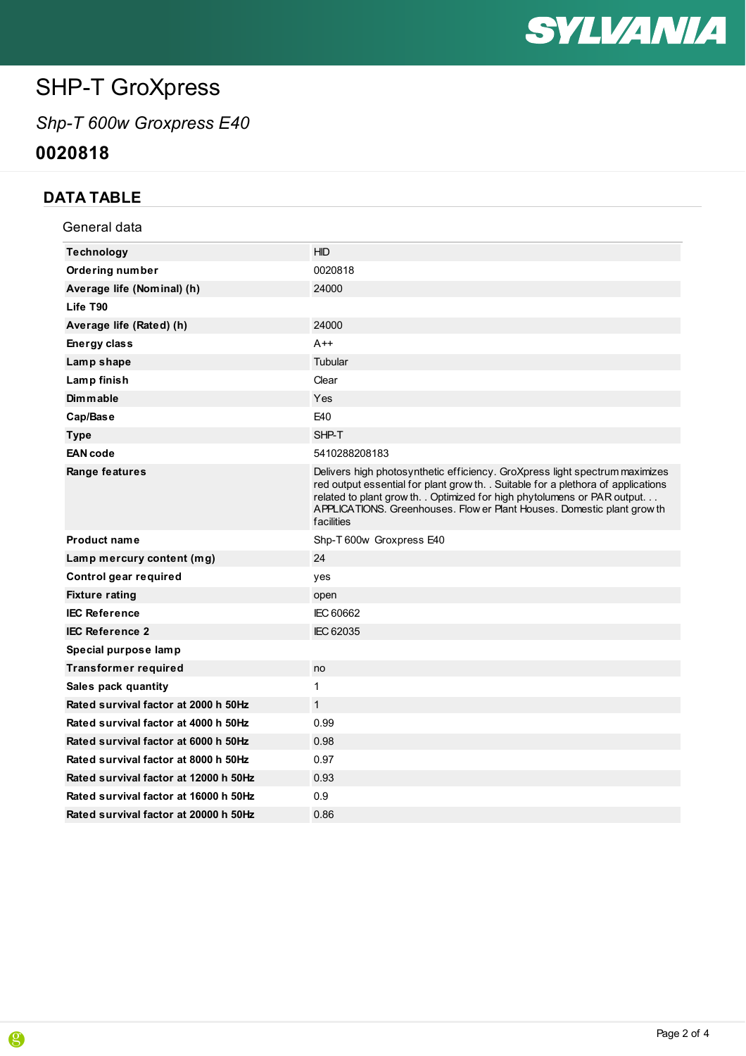

# *Shp-T 600w Groxpress E40*

**0020818**

## **DATA TABLE**

| General data                          |                                                                                                                                                                                                                                                                                                                                        |
|---------------------------------------|----------------------------------------------------------------------------------------------------------------------------------------------------------------------------------------------------------------------------------------------------------------------------------------------------------------------------------------|
| <b>Technology</b>                     | <b>HID</b>                                                                                                                                                                                                                                                                                                                             |
| <b>Ordering number</b>                | 0020818                                                                                                                                                                                                                                                                                                                                |
| Average life (Nominal) (h)            | 24000                                                                                                                                                                                                                                                                                                                                  |
| Life T90                              |                                                                                                                                                                                                                                                                                                                                        |
| Average life (Rated) (h)              | 24000                                                                                                                                                                                                                                                                                                                                  |
| Energy class                          | $A++$                                                                                                                                                                                                                                                                                                                                  |
| Lamp shape                            | Tubular                                                                                                                                                                                                                                                                                                                                |
| Lamp finish                           | Clear                                                                                                                                                                                                                                                                                                                                  |
| <b>Dimmable</b>                       | Yes                                                                                                                                                                                                                                                                                                                                    |
| Cap/Base                              | E40                                                                                                                                                                                                                                                                                                                                    |
| <b>Type</b>                           | SHP-T                                                                                                                                                                                                                                                                                                                                  |
| <b>EAN</b> code                       | 5410288208183                                                                                                                                                                                                                                                                                                                          |
| Range features                        | Delivers high photosynthetic efficiency. GroXpress light spectrum maximizes<br>red output essential for plant grow th. . Suitable for a plethora of applications<br>related to plant grow th. . Optimized for high phytolumens or PAR output.<br>APPLICATIONS. Greenhouses. Flow er Plant Houses. Domestic plant grow th<br>facilities |
| <b>Product name</b>                   | Shp-T 600w Groxpress E40                                                                                                                                                                                                                                                                                                               |
| Lamp mercury content (mg)             | 24                                                                                                                                                                                                                                                                                                                                     |
| Control gear required                 | yes                                                                                                                                                                                                                                                                                                                                    |
| <b>Fixture rating</b>                 | open                                                                                                                                                                                                                                                                                                                                   |
| <b>IEC Reference</b>                  | <b>IEC 60662</b>                                                                                                                                                                                                                                                                                                                       |
| <b>IEC Reference 2</b>                | IEC 62035                                                                                                                                                                                                                                                                                                                              |
| Special purpose lamp                  |                                                                                                                                                                                                                                                                                                                                        |
| <b>Transformer required</b>           | no                                                                                                                                                                                                                                                                                                                                     |
| Sales pack quantity                   | 1                                                                                                                                                                                                                                                                                                                                      |
| Rated survival factor at 2000 h 50Hz  | $\mathbf{1}$                                                                                                                                                                                                                                                                                                                           |
| Rated survival factor at 4000 h 50Hz  | 0.99                                                                                                                                                                                                                                                                                                                                   |
| Rated survival factor at 6000 h 50Hz  | 0.98                                                                                                                                                                                                                                                                                                                                   |
| Rated survival factor at 8000 h 50Hz  | 0.97                                                                                                                                                                                                                                                                                                                                   |
| Rated survival factor at 12000 h 50Hz | 0.93                                                                                                                                                                                                                                                                                                                                   |
| Rated survival factor at 16000 h 50Hz | 0.9                                                                                                                                                                                                                                                                                                                                    |
| Rated survival factor at 20000 h 50Hz | 0.86                                                                                                                                                                                                                                                                                                                                   |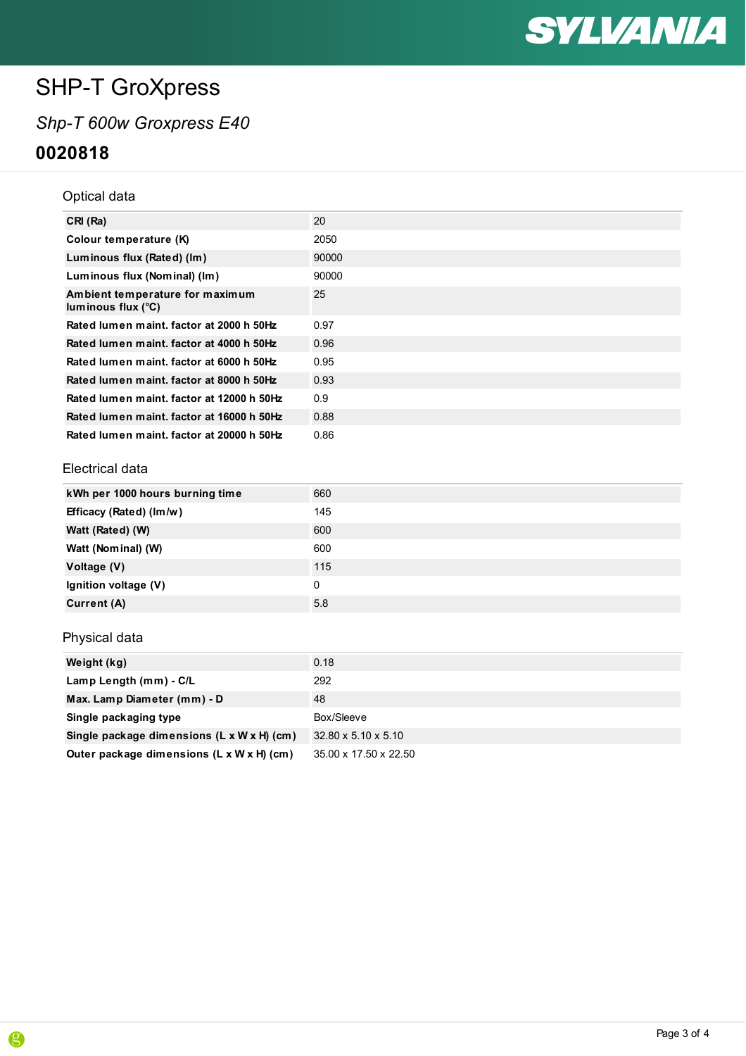

## *Shp-T 600w Groxpress E40* **0020818**

#### Optical data

| CRI (Ra)                                              | 20    |
|-------------------------------------------------------|-------|
| Colour temperature (K)                                | 2050  |
| Luminous flux (Rated) (lm)                            | 90000 |
| Luminous flux (Nominal) (lm)                          | 90000 |
| Ambient temperature for maximum<br>luminous flux (°C) | 25    |
| Rated lumen maint, factor at 2000 h 50Hz              | 0.97  |
| Rated lumen maint, factor at 4000 h 50Hz              | 0.96  |
| Rated lumen maint, factor at 6000 h 50Hz              | 0.95  |
| Rated lumen maint, factor at 8000 h 50Hz              | 0.93  |
| Rated lumen maint, factor at 12000 h 50Hz             | 0.9   |
| Rated lumen maint, factor at 16000 h 50Hz             | 0.88  |
| Rated lumen maint, factor at 20000 h 50Hz             | 0.86  |

#### Electrical data

| kWh per 1000 hours burning time | 660 |
|---------------------------------|-----|
| Efficacy (Rated) (Im/w)         | 145 |
| Watt (Rated) (W)                | 600 |
| Watt (Nominal) (W)              | 600 |
| Voltage (V)                     | 115 |
| Ignition voltage (V)            | 0   |
| Current (A)                     | 5.8 |

### Physical data

| Weight (kg)                                | 0.18                            |
|--------------------------------------------|---------------------------------|
| Lamp Length (mm) - C/L                     | 292                             |
| Max. Lamp Diameter (mm) - D                | 48                              |
| Single packaging type                      | Box/Sleeve                      |
| Single package dimensions (L x W x H) (cm) | $32.80 \times 5.10 \times 5.10$ |
| Outer package dimensions (L x W x H) (cm)  | 35.00 x 17.50 x 22.50           |